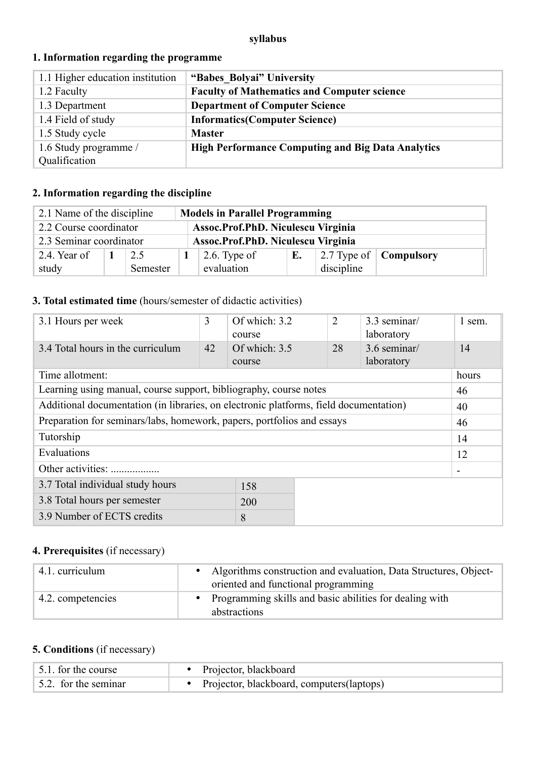### **syllabus**

| 1.1 Higher education institution | "Babes Bolyai" University                                |
|----------------------------------|----------------------------------------------------------|
| 1.2 Faculty                      | <b>Faculty of Mathematics and Computer science</b>       |
| 1.3 Department                   | <b>Department of Computer Science</b>                    |
| 1.4 Field of study               | <b>Informatics(Computer Science)</b>                     |
| 1.5 Study cycle                  | <b>Master</b>                                            |
| 1.6 Study programme /            | <b>High Performance Computing and Big Data Analytics</b> |
| Qualification                    |                                                          |

## **1. Information regarding the programme**

## **2. Information regarding the discipline**

| 2.1 Name of the discipline<br><b>Models in Parallel Programming</b> |                                                               |          |  |                      |    |            |                                       |
|---------------------------------------------------------------------|---------------------------------------------------------------|----------|--|----------------------|----|------------|---------------------------------------|
| Assoc.Prof.PhD. Niculescu Virginia<br>2.2 Course coordinator        |                                                               |          |  |                      |    |            |                                       |
|                                                                     | 2.3 Seminar coordinator<br>Assoc.Prof.PhD. Niculescu Virginia |          |  |                      |    |            |                                       |
| 2.4. Year of                                                        |                                                               | 2.5      |  | $\vert$ 2.6. Type of | E. |            | 2.7 Type of $\vert$ <b>Compulsory</b> |
| study                                                               |                                                               | Semester |  | evaluation           |    | discipline |                                       |

## **3. Total estimated time** (hours/semester of didactic activities)

| 3.1 Hours per week                                                                    | 3  | Of which: 3.2<br>course   | 2  |  | 3.3 seminar/<br>laboratory | 1 sem.                   |
|---------------------------------------------------------------------------------------|----|---------------------------|----|--|----------------------------|--------------------------|
| 3.4 Total hours in the curriculum                                                     | 42 | Of which: $3.5$<br>course | 28 |  | 3.6 seminar/<br>laboratory | 14                       |
| Time allotment:                                                                       |    |                           |    |  |                            | hours                    |
| Learning using manual, course support, bibliography, course notes                     |    |                           |    |  |                            | 46                       |
| Additional documentation (in libraries, on electronic platforms, field documentation) |    |                           |    |  | 40                         |                          |
| Preparation for seminars/labs, homework, papers, portfolios and essays                |    |                           |    |  | 46                         |                          |
| Tutorship                                                                             |    |                           |    |  |                            | 14                       |
| Evaluations                                                                           |    |                           |    |  |                            | 12                       |
| Other activities:                                                                     |    |                           |    |  |                            | $\overline{\phantom{a}}$ |
| 3.7 Total individual study hours<br>158                                               |    |                           |    |  |                            |                          |
| 3.8 Total hours per semester<br>200                                                   |    |                           |    |  |                            |                          |
| 3.9 Number of ECTS credits<br>8                                                       |    |                           |    |  |                            |                          |

# **4. Prerequisites** (if necessary)

| 4.1. curriculum   | Algorithms construction and evaluation, Data Structures, Object-<br>oriented and functional programming |
|-------------------|---------------------------------------------------------------------------------------------------------|
| 4.2. competencies | • Programming skills and basic abilities for dealing with<br>abstractions                               |

# **5. Conditions** (if necessary)

| 5.1. for the course  | • Projector, blackboard                      |
|----------------------|----------------------------------------------|
| 5.2. for the seminar | • Projector, blackboard, computers (laptops) |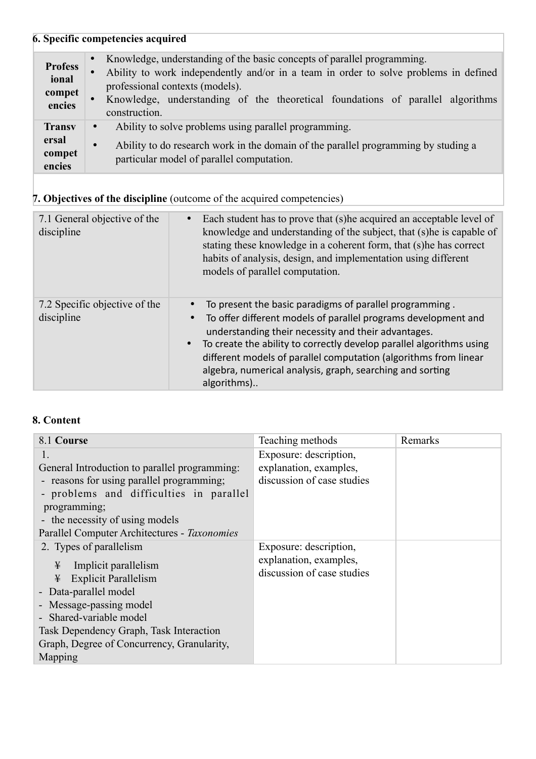# **6. Specific competencies acquired**

| <b>Profess</b><br>ional<br>compet<br>encies | • Knowledge, understanding of the basic concepts of parallel programming.<br>Ability to work independently and/or in a team in order to solve problems in defined<br>$\bullet$<br>professional contexts (models).<br>Knowledge, understanding of the theoretical foundations of parallel algorithms<br>$\bullet$<br>construction. |
|---------------------------------------------|-----------------------------------------------------------------------------------------------------------------------------------------------------------------------------------------------------------------------------------------------------------------------------------------------------------------------------------|
| <b>Transv</b><br>ersal<br>compet<br>encies  | Ability to solve problems using parallel programming.<br>$\bullet$<br>Ability to do research work in the domain of the parallel programming by studing a<br>$\bullet$<br>particular model of parallel computation.                                                                                                                |

# **7. Objectives of the discipline** (outcome of the acquired competencies)

| 7.1 General objective of the<br>discipline  | Each student has to prove that (s) he acquired an acceptable level of<br>knowledge and understanding of the subject, that (s) he is capable of<br>stating these knowledge in a coherent form, that (s)he has correct<br>habits of analysis, design, and implementation using different<br>models of parallel computation.                                                                                                |
|---------------------------------------------|--------------------------------------------------------------------------------------------------------------------------------------------------------------------------------------------------------------------------------------------------------------------------------------------------------------------------------------------------------------------------------------------------------------------------|
| 7.2 Specific objective of the<br>discipline | To present the basic paradigms of parallel programming.<br>To offer different models of parallel programs development and<br>$\bullet$<br>understanding their necessity and their advantages.<br>• To create the ability to correctly develop parallel algorithms using<br>different models of parallel computation (algorithms from linear<br>algebra, numerical analysis, graph, searching and sorting<br>algorithms). |

### **8. Content**

| 8.1 Course                                                                                                                                                                                                                                                                  | Teaching methods                                                               | Remarks |
|-----------------------------------------------------------------------------------------------------------------------------------------------------------------------------------------------------------------------------------------------------------------------------|--------------------------------------------------------------------------------|---------|
| General Introduction to parallel programming:<br>- reasons for using parallel programming;<br>- problems and difficulties in parallel<br>programming;<br>- the necessity of using models<br>Parallel Computer Architectures - Taxonomies                                    | Exposure: description,<br>explanation, examples,<br>discussion of case studies |         |
| 2. Types of parallelism<br>¥<br>Implicit parallelism<br>¥<br><b>Explicit Parallelism</b><br>- Data-parallel model<br>- Message-passing model<br>- Shared-variable model<br>Task Dependency Graph, Task Interaction<br>Graph, Degree of Concurrency, Granularity,<br>Mapping | Exposure: description,<br>explanation, examples,<br>discussion of case studies |         |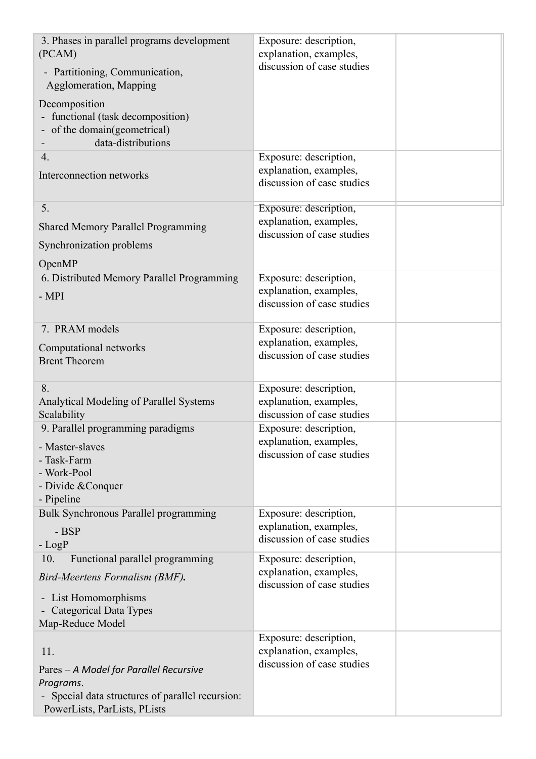| 3. Phases in parallel programs development<br>(PCAM)<br>- Partitioning, Communication,<br>Agglomeration, Mapping                               | Exposure: description,<br>explanation, examples,<br>discussion of case studies |  |
|------------------------------------------------------------------------------------------------------------------------------------------------|--------------------------------------------------------------------------------|--|
| Decomposition<br>- functional (task decomposition)<br>- of the domain(geometrical)<br>data-distributions                                       |                                                                                |  |
| $\overline{4}$ .<br>Interconnection networks                                                                                                   | Exposure: description,<br>explanation, examples,<br>discussion of case studies |  |
| 5.<br><b>Shared Memory Parallel Programming</b><br>Synchronization problems<br>OpenMP                                                          | Exposure: description,<br>explanation, examples,<br>discussion of case studies |  |
| 6. Distributed Memory Parallel Programming<br>$-MPI$                                                                                           | Exposure: description,<br>explanation, examples,<br>discussion of case studies |  |
| 7. PRAM models<br>Computational networks<br><b>Brent Theorem</b>                                                                               | Exposure: description,<br>explanation, examples,<br>discussion of case studies |  |
| 8.<br>Analytical Modeling of Parallel Systems<br>Scalability                                                                                   | Exposure: description,<br>explanation, examples,<br>discussion of case studies |  |
| 9. Parallel programming paradigms<br>- Master-slaves<br>- Task-Farm<br>- Work-Pool<br>- Divide & Conquer<br>- Pipeline                         | Exposure: description,<br>explanation, examples,<br>discussion of case studies |  |
| Bulk Synchronous Parallel programming<br>- BSP<br>$-LogP$                                                                                      | Exposure: description,<br>explanation, examples,<br>discussion of case studies |  |
| Functional parallel programming<br>10.<br>Bird-Meertens Formalism (BMF).                                                                       | Exposure: description,<br>explanation, examples,                               |  |
| - List Homomorphisms<br>- Categorical Data Types<br>Map-Reduce Model                                                                           | discussion of case studies                                                     |  |
| 11.<br>Pares - A Model for Parallel Recursive<br>Programs.<br>- Special data structures of parallel recursion:<br>PowerLists, ParLists, PLists | Exposure: description,<br>explanation, examples,<br>discussion of case studies |  |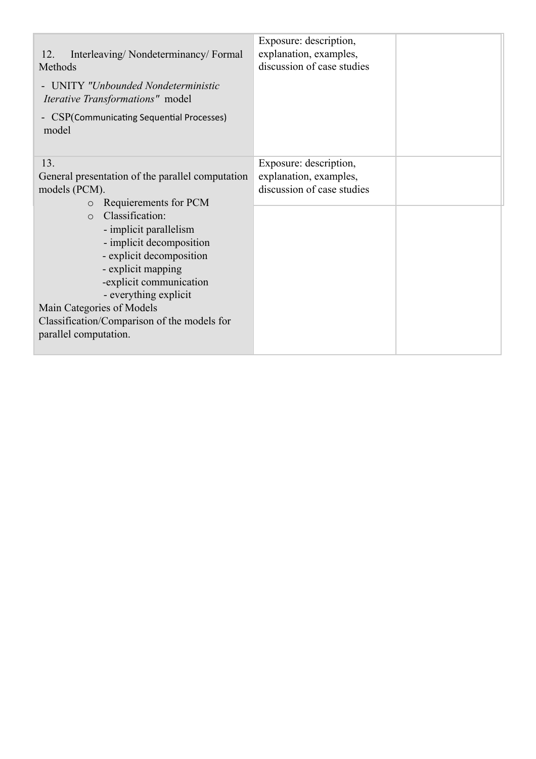| Interleaving/Nondeterminancy/Formal<br>12.<br>Methods<br>UNITY "Unbounded Nondeterministic<br><i>Iterative Transformations"</i> model<br>- CSP(Communicating Sequential Processes)<br>model                                                                                                 | Exposure: description,<br>explanation, examples,<br>discussion of case studies |  |
|---------------------------------------------------------------------------------------------------------------------------------------------------------------------------------------------------------------------------------------------------------------------------------------------|--------------------------------------------------------------------------------|--|
| 13.<br>General presentation of the parallel computation<br>models (PCM).<br>Requierements for PCM<br>$\circ$                                                                                                                                                                                | Exposure: description,<br>explanation, examples,<br>discussion of case studies |  |
| Classification:<br>$\circ$<br>- implicit parallelism<br>- implicit decomposition<br>- explicit decomposition<br>- explicit mapping<br>-explicit communication<br>- everything explicit<br>Main Categories of Models<br>Classification/Comparison of the models for<br>parallel computation. |                                                                                |  |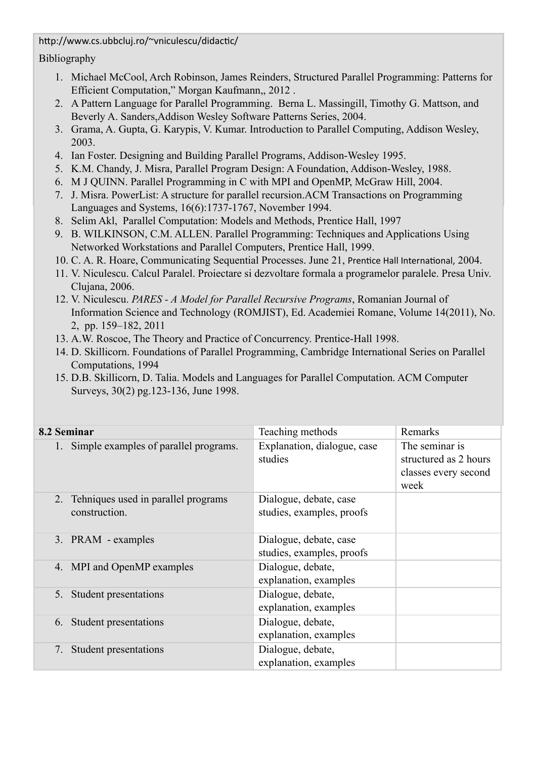http://www.cs.ubbcluj.ro/~vniculescu/didactic/

Bibliography

- 1. Michael McCool, Arch Robinson, James Reinders, Structured Parallel Programming: Patterns for Efficient Computation," Morgan Kaufmann,, 2012 .
- 2. A Pattern Language for Parallel Programming. Berna L. Massingill, Timothy G. Mattson, and Beverly A. Sanders,Addison Wesley Software Patterns Series, 2004.
- 3. Grama, A. Gupta, G. Karypis, V. Kumar. Introduction to Parallel Computing, Addison Wesley, 2003.
- 4. Ian Foster. Designing and Building Parallel Programs, Addison-Wesley 1995.
- 5. K.M. Chandy, J. Misra, Parallel Program Design: A Foundation, Addison-Wesley, 1988.
- 6. M J QUINN. Parallel Programming in C with MPI and OpenMP, McGraw Hill, 2004.
- 7. J. Misra. PowerList: A structure for parallel recursion.ACM Transactions on Programming Languages and Systems, 16(6):1737-1767, November 1994.
- 8. Selim Akl, Parallel Computation: Models and Methods, Prentice Hall, 1997
- 9. B. WILKINSON, C.M. ALLEN. Parallel Programming: Techniques and Applications Using Networked Workstations and Parallel Computers, Prentice Hall, 1999.
- 10. C. A. R. Hoare, Communicating Sequential Processes. June 21, Prentice Hall International, 2004.
- 11. V. Niculescu. Calcul Paralel. Proiectare si dezvoltare formala a programelor paralele. Presa Univ. Clujana, 2006.
- 12. V. Niculescu. *PARES A Model for Parallel Recursive Programs*, Romanian Journal of Information Science and Technology (ROMJIST), Ed. Academiei Romane, Volume 14(2011), No. 2, pp. 159–182, 2011
- 13. A.W. Roscoe, The Theory and Practice of Concurrency. Prentice-Hall 1998.
- 14. D. Skillicorn. Foundations of Parallel Programming, Cambridge International Series on Parallel Computations, 1994
- 15. D.B. Skillicorn, D. Talia. Models and Languages for Parallel Computation. ACM Computer Surveys, 30(2) pg.123-136, June 1998.

| 8.2 Seminar                                             | Teaching methods                                    | Remarks                                                                 |
|---------------------------------------------------------|-----------------------------------------------------|-------------------------------------------------------------------------|
| 1. Simple examples of parallel programs.                | Explanation, dialogue, case<br>studies              | The seminar is<br>structured as 2 hours<br>classes every second<br>week |
| 2. Tehniques used in parallel programs<br>construction. | Dialogue, debate, case<br>studies, examples, proofs |                                                                         |
| 3. PRAM - examples                                      | Dialogue, debate, case<br>studies, examples, proofs |                                                                         |
| 4. MPI and OpenMP examples                              | Dialogue, debate,<br>explanation, examples          |                                                                         |
| Student presentations<br>5.                             | Dialogue, debate,<br>explanation, examples          |                                                                         |
| Student presentations<br>6.                             | Dialogue, debate,<br>explanation, examples          |                                                                         |
| <b>Student presentations</b><br>7.                      | Dialogue, debate,<br>explanation, examples          |                                                                         |